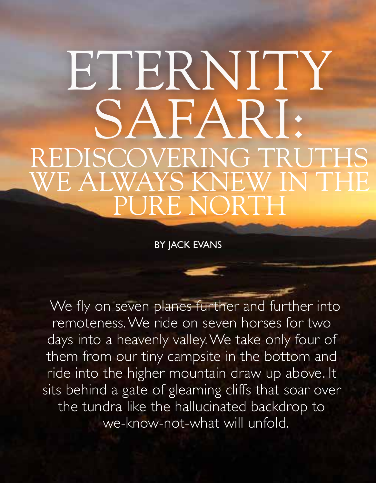## ETERNITY SAFARI: REDISCOVERING TRUTHS WE ALWAYS KNEW IN THE PURE NORTH

BY JACK EVANS

We fly on seven planes further and further into remoteness. We ride on seven horses for two days into a heavenly valley. We take only four of them from our tiny campsite in the bottom and ride into the higher mountain draw up above. It sits behind a gate of gleaming cliffs that soar over the tundra like the hallucinated backdrop to we-know-not-what will unfold.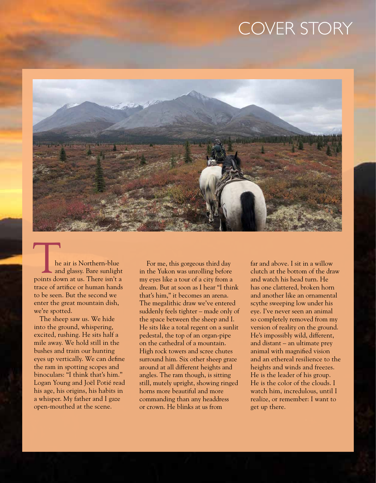## COVER STORY



The air is Northern-blue<br>
the air is Northern-blue<br>
and glassy. Bare sunlight<br>
the Yukon was unrolling before<br>
points down at us. There isn't a he air is Northern-blue and glassy. Bare sunlight points down at us. There isn't a trace of artifice or human hands to be seen. But the second we enter the great mountain dish, we're spotted.

The sheep saw us. We hide into the ground, whispering, excited, rushing. He sits half a mile away. We hold still in the bushes and train our hunting eyes up vertically. We can define the ram in spotting scopes and binoculars: "I think that's him." Logan Young and Joël Potié read his age, his origins, his habits in a whisper. My father and I gaze open-mouthed at the scene.

in the Yukon was unrolling before my eyes like a tour of a city from a dream. But at soon as I hear "I think that's him," it becomes an arena. The megalithic draw we've entered suddenly feels tighter – made only of the space between the sheep and I. He sits like a total regent on a sunlit pedestal, the top of an organ-pipe on the cathedral of a mountain. High rock towers and scree chutes surround him. Six other sheep graze around at all different heights and angles. The ram though, is sitting still, mutely upright, showing ringed horns more beautiful and more commanding than any headdress or crown. He blinks at us from

far and above. I sit in a willow clutch at the bottom of the draw and watch his head turn. He has one clattered, broken horn and another like an ornamental scythe sweeping low under his eye. I've never seen an animal so completely removed from my version of reality on the ground. He's impossibly wild, different, and distant – an ultimate prey animal with magnified vision and an ethereal resilience to the heights and winds and freezes. He is the leader of his group. He is the color of the clouds. I watch him, incredulous, until I realize, or remember: I want to get up there.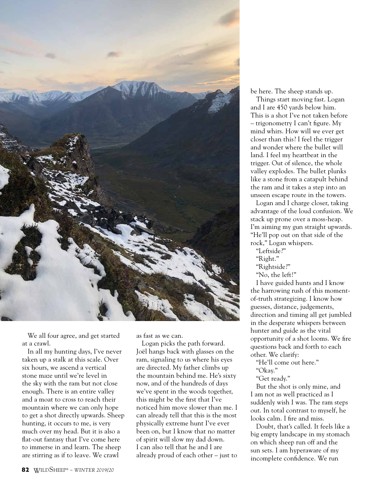

We all four agree, and get started at a crawl.

In all my hunting days, I've never taken up a stalk at this scale. Over six hours, we ascend a vertical stone maze until we're level in the sky with the ram but not close enough. There is an entire valley and a moat to cross to reach their mountain where we can only hope to get a shot directly upwards. Sheep hunting, it occurs to me, is very much over my head. But it is also a flat-out fantasy that I've come here to immerse in and learn. The sheep are stirring as if to leave. We crawl

as fast as we can.

Logan picks the path forward. Joël hangs back with glasses on the ram, signaling to us where his eyes are directed. My father climbs up the mountain behind me. He's sixty now, and of the hundreds of days we've spent in the woods together, this might be the first that I've noticed him move slower than me. I can already tell that this is the most physically extreme hunt I've ever been on, but I know that no matter of spirit will slow my dad down. I can also tell that he and I are already proud of each other – just to be here. The sheep stands up.

Things start moving fast. Logan and I are 450 yards below him. This is a shot I've not taken before – trigonometry I can't figure. My mind whirs. How will we ever get closer than this? I feel the trigger and wonder where the bullet will land. I feel my heartbeat in the trigger. Out of silence, the whole valley explodes. The bullet plunks like a stone from a catapult behind the ram and it takes a step into an unseen escape route in the towers.

Logan and I charge closer, taking advantage of the loud confusion. We stack up prone over a moss-heap. I'm aiming my gun straight upwards. "He'll pop out on that side of the rock," Logan whispers.

"Leftside?" "Right." "Rightside?" "No, the left!"

I have guided hunts and I know the harrowing rush of this momentof-truth strategizing. I know how guesses, distance, judgements, direction and timing all get jumbled in the desperate whispers between hunter and guide as the vital opportunity of a shot looms. We fire questions back and forth to each other. We clarify:

"He'll come out here."

"Okay."

"Get ready."

But the shot is only mine, and I am not as well practiced as I suddenly wish I was. The ram steps out. In total contrast to myself, he looks calm. I fire and miss.

Doubt, that's called. It feels like a big empty landscape in my stomach on which sheep run off and the sun sets. I am hyperaware of my incomplete confidence. We run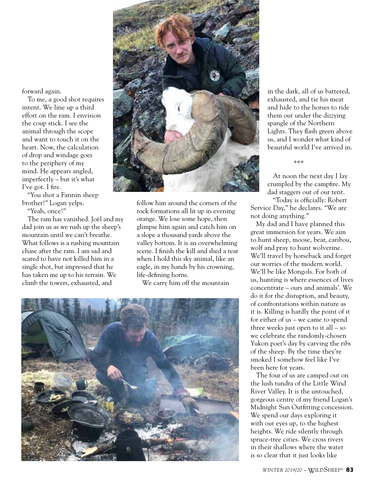forward again.

To me, a good shot requires intent. We line up a third effort on the ram. I envision the coup stick. I see the animal through the scope and want to touch it on the heart. Now, the calculation of drop and windage goes to the periphery of my mind. He appears angled, imperfectly – but it's what I've got. I fire.

"You shot a Fannin sheep brother!" Logan yelps.

"Yeah, once!"

The ram has vanished. Joël and my dad join us as we rush up the sheep's mountain until we can't breathe. What follows is a rushing mountain chase after the ram. I am sad and scared to have not killed him in a single shot, but impressed that he has taken me up to his terrain. We climb the towers, exhausted, and



follow him around the corners of the rock formations all lit up in evening orange. We lose some hope, then glimpse him again and catch him on a slope a thousand yards above the valley bottom. It is an overwhelming scene. I finish the kill and shed a tear when I hold this sky animal, like an eagle, in my hands by his crowning, life-defining horns.

We carry him off the mountain



in the dark, all of us battered, exhausted, and tie his meat and hide to the horses to ride them out under the dizzying spangle of the Northern Lights. They flash green above us, and I wonder what kind of beautiful world I've arrived in.

\*\*\*

At noon the next day I lay crumpled by the campfire. My dad staggers out of our tent.

"Today is officially: Robert Service Day," he declares. "We are not doing anything."

My dad and I have planned this great immersion for years. We aim to hunt sheep, moose, bear, caribou, wolf and pray to hunt wolverine. We'll travel by horseback and forget our worries of the modern world. We'll be like Mongols. For both of us, hunting is where essences of lives concentrate – ours and animals'. We do it for the disruption, and beauty, of confrontations within nature as it is. Killing is hardly the point of it for either of us – we came to spend three weeks just open to it all – so we celebrate the randomly-chosen Yukon poet's day by carving the ribs of the sheep. By the time they're smoked I somehow feel like I've been here for years.

The four of us are camped out on the lush tundra of the Little Wind River Valley. It is the untouched, gorgeous centre of my friend Logan's Midnight Sun Outfitting concession. We spend our days exploring it with our eyes up, to the highest heights. We ride silently through spruce-tree cities. We cross rivers in their shallows where the water is so clear that it just looks like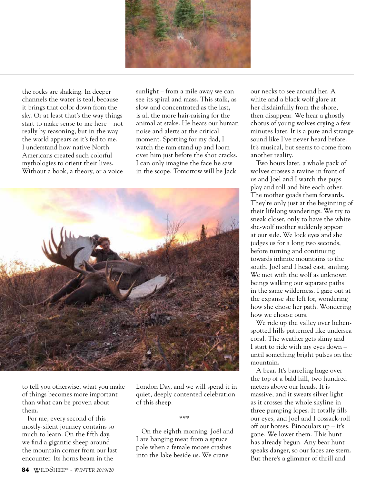

the rocks are shaking. In deeper channels the water is teal, because it brings that color down from the sky. Or at least that's the way things start to make sense to me here – not really by reasoning, but in the way the world appears as it's fed to me. I understand how native North Americans created such colorful mythologies to orient their lives. Without a book, a theory, or a voice sunlight – from a mile away we can see its spiral and mass. This stalk, as slow and concentrated as the last, is all the more hair-raising for the animal at stake. He hears our human noise and alerts at the critical moment. Spotting for my dad, I watch the ram stand up and loom over him just before the shot cracks. I can only imagine the face he saw in the scope. Tomorrow will be Jack



to tell you otherwise, what you make of things becomes more important than what can be proven about them.

For me, every second of this mostly-silent journey contains so much to learn. On the fifth day, we find a gigantic sheep around the mountain corner from our last encounter. Its horns beam in the

London Day, and we will spend it in quiet, deeply contented celebration of this sheep.

\*\*\*

On the eighth morning, Joël and I are hanging meat from a spruce pole when a female moose crashes into the lake beside us. We crane

our necks to see around her. A white and a black wolf glare at her disdainfully from the shore, then disappear. We hear a ghostly chorus of young wolves crying a few minutes later. It is a pure and strange sound like I've never heard before. It's musical, but seems to come from another reality.

Two hours later, a whole pack of wolves crosses a ravine in front of us and Joël and I watch the pups play and roll and bite each other. The mother goads them forwards. They're only just at the beginning of their lifelong wanderings. We try to sneak closer, only to have the white she-wolf mother suddenly appear at our side. We lock eyes and she judges us for a long two seconds, before turning and continuing towards infinite mountains to the south. Joël and I head east, smiling. We met with the wolf as unknown beings walking our separate paths in the same wilderness. I gaze out at the expanse she left for, wondering how she chose her path. Wondering how we choose ours.

We ride up the valley over lichenspotted hills patterned like undersea coral. The weather gets slimy and I start to ride with my eyes down – until something bright pulses on the mountain.

A bear. It's barreling huge over the top of a bald hill, two hundred meters above our heads. It is massive, and it sweats silver light as it crosses the whole skyline in three pumping lopes. It totally fills our eyes, and Joel and I cossack-roll off our horses. Binoculars up – it's gone. We lower them. This hunt has already begun. Any bear hunt speaks danger, so our faces are stern. But there's a glimmer of thrill and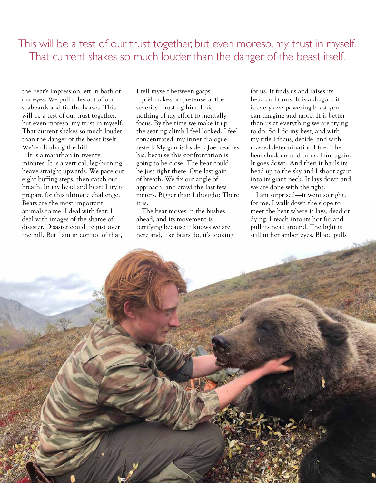This will be a test of our trust together, but even moreso, my trust in myself. That current shakes so much louder than the danger of the beast itself.

the bear's impression left in both of our eyes. We pull rifles out of our scabbards and tie the horses. This will be a test of our trust together, but even moreso, my trust in myself. That current shakes so much louder than the danger of the beast itself. We're climbing the hill.

It is a marathon in twenty minutes. It is a vertical, leg-burning heave straight upwards. We pace out eight huffing steps, then catch our breath. In my head and heart I try to prepare for this ultimate challenge. Bears are the most important animals to me. I deal with fear; I deal with images of the shame of disaster. Disaster could lie just over the hill. But I am in control of that,

I tell myself between gasps.

Joël makes no pretense of the severity. Trusting him, I hide nothing of my effort to mentally focus. By the time we make it up the searing climb I feel locked. I feel concentrated, my inner dialogue rested. My gun is loaded. Joël readies his, because this confrontation is going to be close. The bear could be just right there. One last gain of breath. We fix our angle of approach, and crawl the last few meters. Bigger than I thought: There it is.

The bear moves in the bushes ahead, and its movement is terrifying because it knows we are here and, like bears do, it's looking for us. It finds us and raises its head and turns. It is a dragon; it is every overpowering beast you can imagine and more. It is better than us at everything we are trying to do. So I do my best, and with my rifle I focus, decide, and with massed determination I fire. The bear shudders and turns. I fire again. It goes down. And then it hauls its head up to the sky and I shoot again into its giant neck. It lays down and we are done with the fight.

I am surprised—it went so right, for me. I walk down the slope to meet the bear where it lays, dead or dying. I reach into its hot fur and pull its head around. The light is still in her amber eyes. Blood pulls

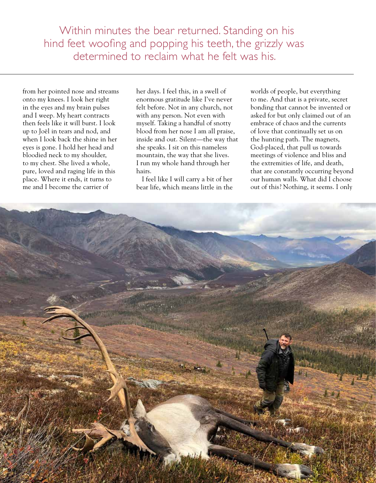Within minutes the bear returned. Standing on his hind feet woofing and popping his teeth, the grizzly was determined to reclaim what he felt was his.

from her pointed nose and streams onto my knees. I look her right in the eyes and my brain pulses and I weep. My heart contracts then feels like it will burst. I look up to Joël in tears and nod, and when I look back the shine in her eyes is gone. I hold her head and bloodied neck to my shoulder, to my chest. She lived a whole, pure, loved and raging life in this place. Where it ends, it turns to me and I become the carrier of

her days. I feel this, in a swell of enormous gratitude like I've never felt before. Not in any church, not with any person. Not even with myself. Taking a handful of snotty blood from her nose I am all praise, inside and out. Silent—the way that she speaks. I sit on this nameless mountain, the way that she lives. I run my whole hand through her hairs.

I feel like I will carry a bit of her bear life, which means little in the worlds of people, but everything to me. And that is a private, secret bonding that cannot be invented or asked for but only claimed out of an embrace of chaos and the currents of love that continually set us on the hunting path. The magnets, God-placed, that pull us towards meetings of violence and bliss and the extremities of life, and death, that are constantly occurring beyond our human walls. What did I choose out of this? Nothing, it seems. I only

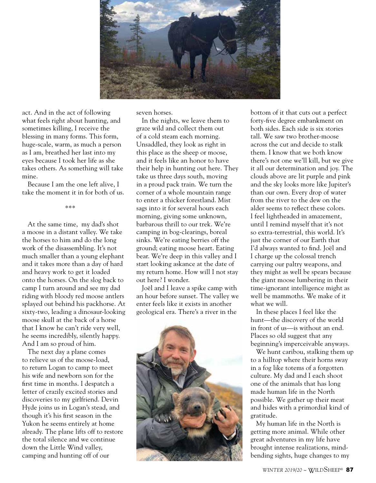

act. And in the act of following what feels right about hunting, and sometimes killing, I receive the blessing in many forms. This form, huge-scale, warm, as much a person as I am, breathed her last into my eyes because I took her life as she takes others. As something will take mine.

Because I am the one left alive, I take the moment it in for both of us.

\*\*\*

At the same time, my dad's shot a moose in a distant valley. We take the horses to him and do the long work of the disassembling. It's not much smaller than a young elephant and it takes more than a day of hard and heavy work to get it loaded onto the horses. On the slog back to camp I turn around and see my dad riding with bloody red moose antlers splayed out behind his packhorse. At sixty-two, leading a dinosaur-looking moose skull at the back of a horse that I know he can't ride very well, he seems incredibly, silently happy. And I am so proud of him.

The next day a plane comes to relieve us of the moose-load, to return Logan to camp to meet his wife and newborn son for the first time in months. I despatch a letter of crazily excited stories and discoveries to my girlfriend. Devin Hyde joins us in Logan's stead, and though it's his first season in the Yukon he seems entirely at home already. The plane lifts off to restore the total silence and we continue down the Little Wind valley, camping and hunting off of our

seven horses.

In the nights, we leave them to graze wild and collect them out of a cold steam each morning. Unsaddled, they look as right in this place as the sheep or moose, and it feels like an honor to have their help in hunting out here. They take us three days south, moving in a proud pack train. We turn the corner of a whole mountain range to enter a thicker forestland. Mist sags into it for several hours each morning, giving some unknown, barbarous thrill to our trek. We're camping in bog-clearings, boreal sinks. We're eating berries off the ground; eating moose heart. Eating bear. We're deep in this valley and I start looking askance at the date of my return home. How will I not stay out here? I wonder.

Joël and I leave a spike camp with an hour before sunset. The valley we enter feels like it exists in another geological era. There's a river in the



bottom of it that cuts out a perfect forty-five degree embankment on both sides. Each side is six stories tall. We saw two brother-moose across the cut and decide to stalk them. I know that we both know there's not one we'll kill, but we give it all our determination and joy. The clouds above are lit purple and pink and the sky looks more like Jupiter's than our own. Every drop of water from the river to the dew on the alder seems to reflect these colors. I feel lightheaded in amazement, until I remind myself that it's not so extra-terrestrial, this world. It's just the corner of our Earth that I'd always wanted to find. Joël and I charge up the colossal trench carrying our paltry weapons, and they might as well be spears because the giant moose lumbering in their time-ignorant intelligence might as well be mammoths. We make of it what we will.

In these places I feel like the hunt—the discovery of the world in front of us—is without an end. Places so old suggest that any beginning's imperceivable anyways.

We hunt caribou, stalking them up to a hilltop where their horns sway in a fog like totems of a forgotten culture. My dad and I each shoot one of the animals that has long made human life in the North possible. We gather up their meat and hides with a primordial kind of gratitude.

My human life in the North is getting more animal. While other great adventures in my life have brought intense realizations, mindbending sights, huge changes to my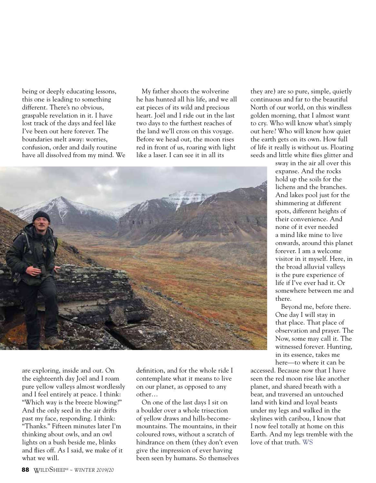being or deeply educating lessons, this one is leading to something different. There's no obvious, graspable revelation in it. I have lost track of the days and feel like I've been out here forever. The boundaries melt away: worries, confusion, order and daily routine have all dissolved from my mind. We

My father shoots the wolverine he has hunted all his life, and we all eat pieces of its wild and precious heart. Joël and I ride out in the last two days to the furthest reaches of the land we'll cross on this voyage. Before we head out, the moon rises red in front of us, roaring with light like a laser. I can see it in all its

they are) are so pure, simple, quietly continuous and far to the beautiful North of our world, on this windless golden morning, that I almost want to cry. Who will know what's simply out here? Who will know how quiet the earth gets on its own. How full of life it really is without us. Floating seeds and little white flies glitter and



sway in the air all over this expanse. And the rocks hold up the soils for the lichens and the branches. And lakes pool just for the shimmering at different spots, different heights of their convenience. And none of it ever needed a mind like mine to live onwards, around this planet forever. I am a welcome visitor in it myself. Here, in the broad alluvial valleys is the pure experience of life if I've ever had it. Or somewhere between me and there.

Beyond me, before there. One day I will stay in that place. That place of observation and prayer. The Now, some may call it. The witnessed forever. Hunting, in its essence, takes me here—to where it can be

accessed. Because now that I have seen the red moon rise like another planet, and shared breath with a bear, and traversed an untouched land with kind and loyal beasts under my legs and walked in the skylines with caribou, I know that I now feel totally at home on this Earth. And my legs tremble with the love of that truth. WS

are exploring, inside and out. On the eighteenth day Joël and I roam pure yellow valleys almost wordlessly and I feel entirely at peace. I think: "Which way is the breeze blowing?" And the only seed in the air drifts past my face, responding. I think: "Thanks." Fifteen minutes later I'm thinking about owls, and an owl lights on a bush beside me, blinks and flies off. As I said, we make of it what we will.

definition, and for the whole ride I contemplate what it means to live on our planet, as opposed to any other…

On one of the last days I sit on a boulder over a whole trisection of yellow draws and hills-becomemountains. The mountains, in their coloured rows, without a scratch of hindrance on them (they don't even give the impression of ever having been seen by humans. So themselves